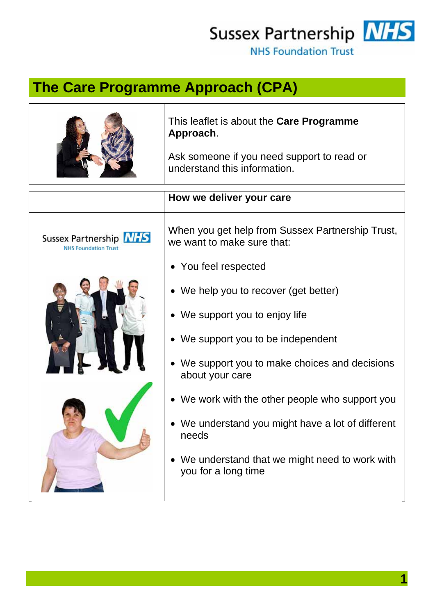Sussex Partnership NHS

NHS Foundation Trust

## **The Care Programme Approach (CPA)**

|                                                              | This leaflet is about the Care Programme<br>Approach.<br>Ask someone if you need support to read or<br>understand this information. |
|--------------------------------------------------------------|-------------------------------------------------------------------------------------------------------------------------------------|
|                                                              | How we deliver your care                                                                                                            |
| Sussex Partnership <b>NHS</b><br><b>NHS Foundation Trust</b> | When you get help from Sussex Partnership Trust,<br>we want to make sure that:                                                      |
|                                                              | • You feel respected                                                                                                                |
|                                                              | • We help you to recover (get better)                                                                                               |
|                                                              | • We support you to enjoy life                                                                                                      |
|                                                              | • We support you to be independent                                                                                                  |
|                                                              | We support you to make choices and decisions<br>about your care                                                                     |
|                                                              | • We work with the other people who support you                                                                                     |
|                                                              | • We understand you might have a lot of different<br>needs                                                                          |
|                                                              | We understand that we might need to work with<br>you for a long time                                                                |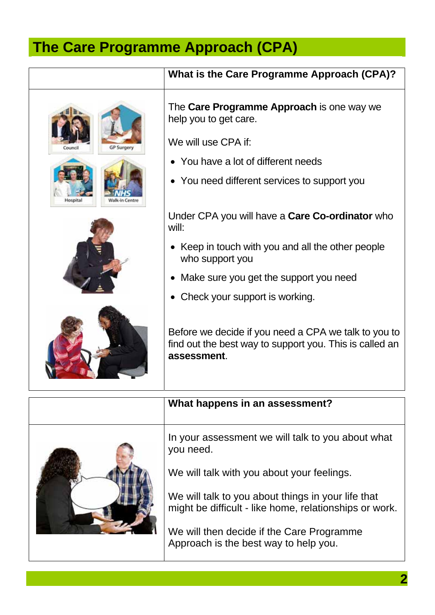## **The Care Programme Approach (CPA)**

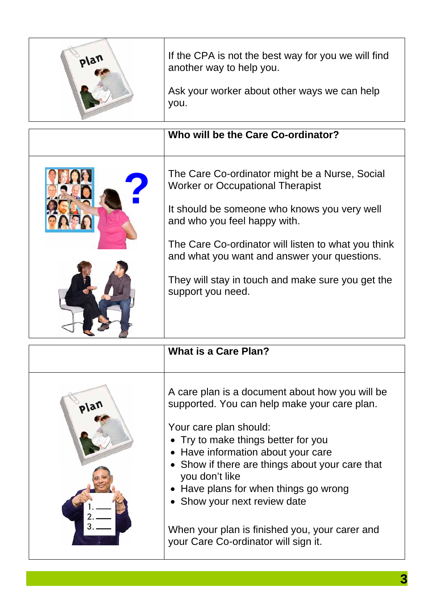| plan | If the CPA is not the best way for you we will find<br>another way to help you.<br>Ask your worker about other ways we can help<br>you.                                                                                                                                                                                                                    |
|------|------------------------------------------------------------------------------------------------------------------------------------------------------------------------------------------------------------------------------------------------------------------------------------------------------------------------------------------------------------|
|      | Who will be the Care Co-ordinator?                                                                                                                                                                                                                                                                                                                         |
|      | The Care Co-ordinator might be a Nurse, Social<br><b>Worker or Occupational Therapist</b><br>It should be someone who knows you very well<br>and who you feel happy with.<br>The Care Co-ordinator will listen to what you think<br>and what you want and answer your questions.<br>They will stay in touch and make sure you get the<br>support you need. |
|      | What is a Care Plan?                                                                                                                                                                                                                                                                                                                                       |
| plan | A care plan is a document about how you will be<br>supported. You can help make your care plan.                                                                                                                                                                                                                                                            |

Your care plan should:

- Try to make things better for you
- Have information about your care
- Show if there are things about your care that you don't like
- Have plans for when things go wrong
- Show your next review date

When your plan is finished you, your carer and your Care Co-ordinator will sign it.